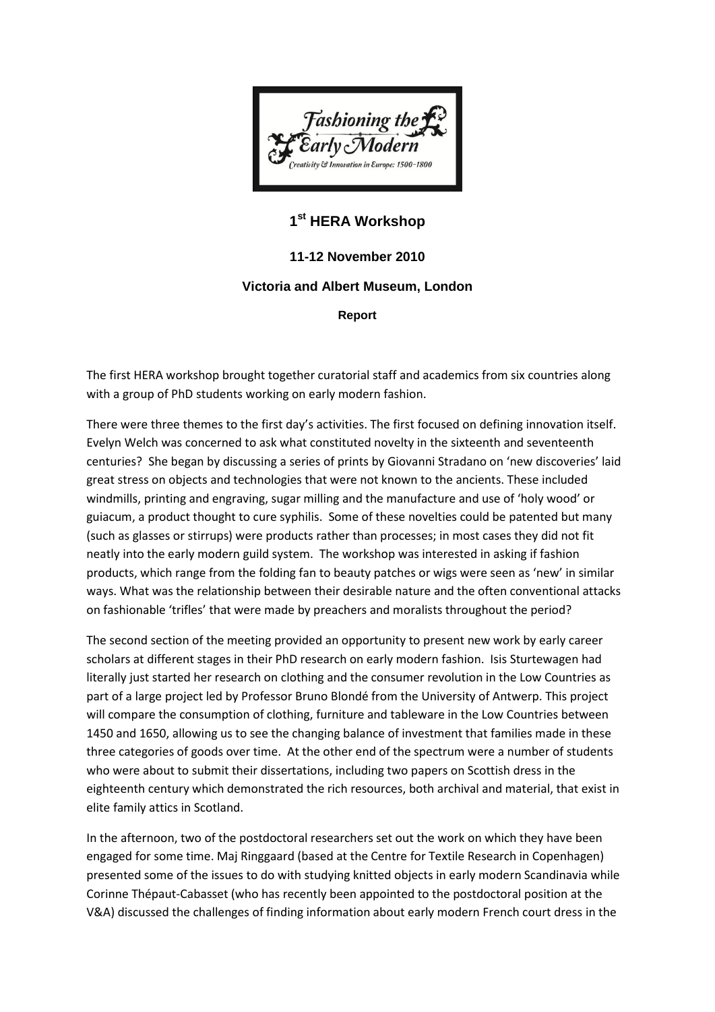

## **1 st HERA Workshop**

**11-12 November 2010**

## **Victoria and Albert Museum, London**

**Report**

The first HERA workshop brought together curatorial staff and academics from six countries along with a group of PhD students working on early modern fashion.

There were three themes to the first day's activities. The first focused on defining innovation itself. Evelyn Welch was concerned to ask what constituted novelty in the sixteenth and seventeenth centuries? She began by discussing a series of prints by Giovanni Stradano on 'new discoveries' laid great stress on objects and technologies that were not known to the ancients. These included windmills, printing and engraving, sugar milling and the manufacture and use of 'holy wood' or guiacum, a product thought to cure syphilis. Some of these novelties could be patented but many (such as glasses or stirrups) were products rather than processes; in most cases they did not fit neatly into the early modern guild system. The workshop was interested in asking if fashion products, which range from the folding fan to beauty patches or wigs were seen as 'new' in similar ways. What was the relationship between their desirable nature and the often conventional attacks on fashionable 'trifles' that were made by preachers and moralists throughout the period?

The second section of the meeting provided an opportunity to present new work by early career scholars at different stages in their PhD research on early modern fashion. Isis Sturtewagen had literally just started her research on clothing and the consumer revolution in the Low Countries as part of a large project led by Professor Bruno Blondé from the University of Antwerp. This project will compare the consumption of clothing, furniture and tableware in the Low Countries between 1450 and 1650, allowing us to see the changing balance of investment that families made in these three categories of goods over time. At the other end of the spectrum were a number of students who were about to submit their dissertations, including two papers on Scottish dress in the eighteenth century which demonstrated the rich resources, both archival and material, that exist in elite family attics in Scotland.

In the afternoon, two of the postdoctoral researchers set out the work on which they have been engaged for some time. Maj Ringgaard (based at the Centre for Textile Research in Copenhagen) presented some of the issues to do with studying knitted objects in early modern Scandinavia while Corinne Thépaut-Cabasset (who has recently been appointed to the postdoctoral position at the V&A) discussed the challenges of finding information about early modern French court dress in the